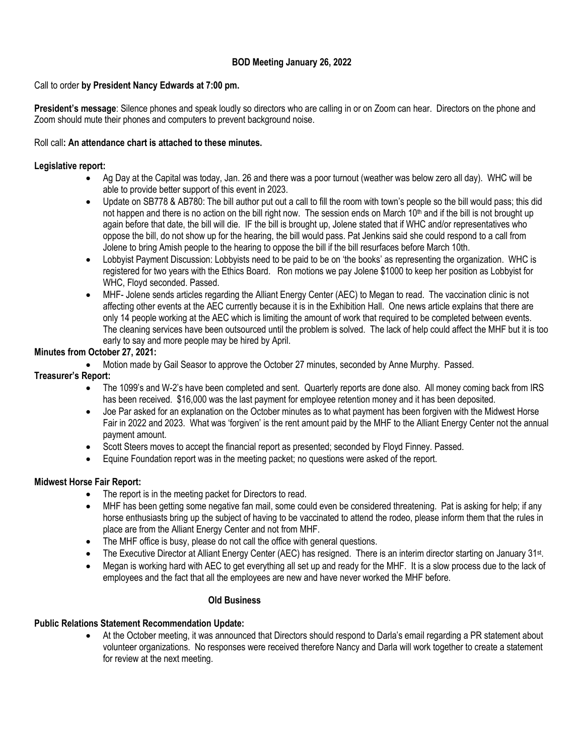# **BOD Meeting January 26, 2022**

## Call to order **by President Nancy Edwards at 7:00 pm.**

**President's message**: Silence phones and speak loudly so directors who are calling in or on Zoom can hear. Directors on the phone and Zoom should mute their phones and computers to prevent background noise.

### Roll call**: An attendance chart is attached to these minutes.**

## **Legislative report:**

- Ag Day at the Capital was today, Jan. 26 and there was a poor turnout (weather was below zero all day). WHC will be able to provide better support of this event in 2023.
- Update on SB778 & AB780: The bill author put out a call to fill the room with town's people so the bill would pass; this did not happen and there is no action on the bill right now. The session ends on March  $10<sup>th</sup>$  and if the bill is not brought up again before that date, the bill will die. IF the bill is brought up, Jolene stated that if WHC and/or representatives who oppose the bill, do not show up for the hearing, the bill would pass. Pat Jenkins said she could respond to a call from Jolene to bring Amish people to the hearing to oppose the bill if the bill resurfaces before March 10th.
- Lobbyist Payment Discussion: Lobbyists need to be paid to be on 'the books' as representing the organization. WHC is registered for two years with the Ethics Board. Ron motions we pay Jolene \$1000 to keep her position as Lobbyist for WHC, Floyd seconded. Passed.
- MHF- Jolene sends articles regarding the Alliant Energy Center (AEC) to Megan to read. The vaccination clinic is not affecting other events at the AEC currently because it is in the Exhibition Hall. One news article explains that there are only 14 people working at the AEC which is limiting the amount of work that required to be completed between events. The cleaning services have been outsourced until the problem is solved. The lack of help could affect the MHF but it is too early to say and more people may be hired by April.

## **Minutes from October 27, 2021:**

• Motion made by Gail Seasor to approve the October 27 minutes, seconded by Anne Murphy. Passed.

# **Treasurer's Report:**

- The 1099's and W-2's have been completed and sent. Quarterly reports are done also. All money coming back from IRS has been received. \$16,000 was the last payment for employee retention money and it has been deposited.
- Joe Par asked for an explanation on the October minutes as to what payment has been forgiven with the Midwest Horse Fair in 2022 and 2023. What was 'forgiven' is the rent amount paid by the MHF to the Alliant Energy Center not the annual payment amount.
- Scott Steers moves to accept the financial report as presented; seconded by Floyd Finney. Passed.
- Equine Foundation report was in the meeting packet; no questions were asked of the report.

# **Midwest Horse Fair Report:**

- The report is in the meeting packet for Directors to read.
- MHF has been getting some negative fan mail, some could even be considered threatening. Pat is asking for help; if any horse enthusiasts bring up the subject of having to be vaccinated to attend the rodeo, please inform them that the rules in place are from the Alliant Energy Center and not from MHF.
- The MHF office is busy, please do not call the office with general questions.
- The Executive Director at Alliant Energy Center (AEC) has resigned. There is an interim director starting on January 31<sup>st</sup>.
- Megan is working hard with AEC to get everything all set up and ready for the MHF. It is a slow process due to the lack of employees and the fact that all the employees are new and have never worked the MHF before.

### **Old Business**

### **Public Relations Statement Recommendation Update:**

• At the October meeting, it was announced that Directors should respond to Darla's email regarding a PR statement about volunteer organizations. No responses were received therefore Nancy and Darla will work together to create a statement for review at the next meeting.